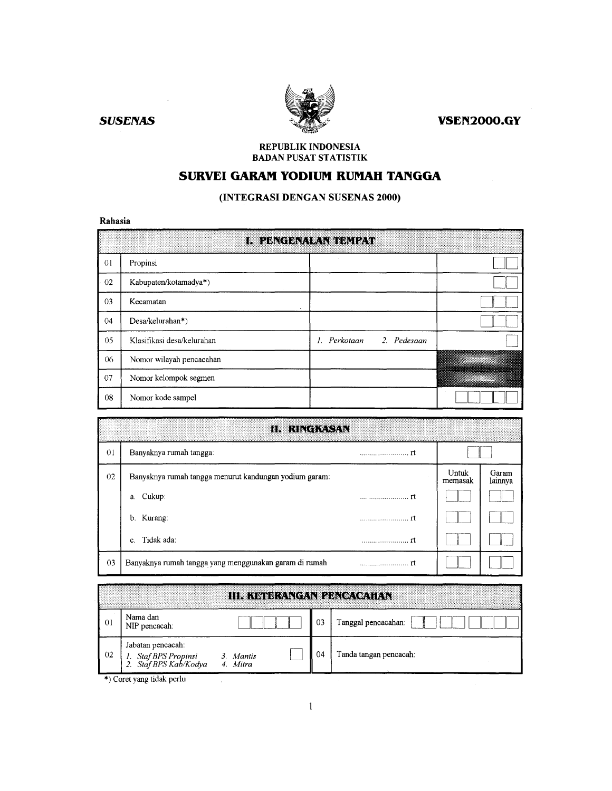**VSEN2000.GY** 

**SUSENAS** 



### REPUBLIK INDONESIA **BADAN PUSAT STATISTIK**

# SURVEI GARAM YODIUM RUMAH TANGGA

# (INTEGRASI DENGAN SUSENAS 2000)

### Rahasia

|                | L PENGENALAN BEMPAD        |                                           |  |  |  |  |  |  |  |  |
|----------------|----------------------------|-------------------------------------------|--|--|--|--|--|--|--|--|
| 0 <sub>l</sub> | Propinsi                   |                                           |  |  |  |  |  |  |  |  |
| 02             | Kabupaten/kotamadya*)      |                                           |  |  |  |  |  |  |  |  |
| 03             | Kecamatan                  |                                           |  |  |  |  |  |  |  |  |
| 04             | Desa/kelurahan*)           |                                           |  |  |  |  |  |  |  |  |
| 05             | Klasifikasi desa/kelurahan | Perkotaan<br>2. Pedesaan<br>$\mathcal{L}$ |  |  |  |  |  |  |  |  |
| 06             | Nomor wilayah pencacahan   |                                           |  |  |  |  |  |  |  |  |
| 07             | Nomor kelompok segmen      |                                           |  |  |  |  |  |  |  |  |
| 08             | Nomor kode sampel          |                                           |  |  |  |  |  |  |  |  |

|                | HUIRICHT. CA                                           |     |                  |                  |
|----------------|--------------------------------------------------------|-----|------------------|------------------|
| 0 <sup>1</sup> | Banyaknya rumah tangga:                                |     |                  |                  |
| 02             | Banyaknya rumah tangga menurut kandungan yodium garam: |     | Untuk<br>memasak | Garam<br>lainnya |
|                | Cukup:<br>a.                                           |     |                  |                  |
|                | b. Kurang:                                             | ٣t  |                  |                  |
|                | Tidak ada:<br>C.                                       | - m |                  |                  |
| 03             | Banyaknya rumah tangga yang menggunakan garam di rumah |     |                  |                  |

|    |                                                                    | <b>III. KETERANGAN PENCACAHAN</b> |    |                        |
|----|--------------------------------------------------------------------|-----------------------------------|----|------------------------|
| 01 | Nama dan<br>NIP pencacah:                                          |                                   | 03 | Tanggal pencacahan:    |
| 02 | Jabatan pencacah:<br>1. Staf BPS Propinsi<br>2. Staf BPS Kab/Kodya | 3. Mantis<br>4. Mitra             | 74 | Tanda tangan pencacah: |

\*) Coret yang tidak perlu

 $\sim$   $\alpha$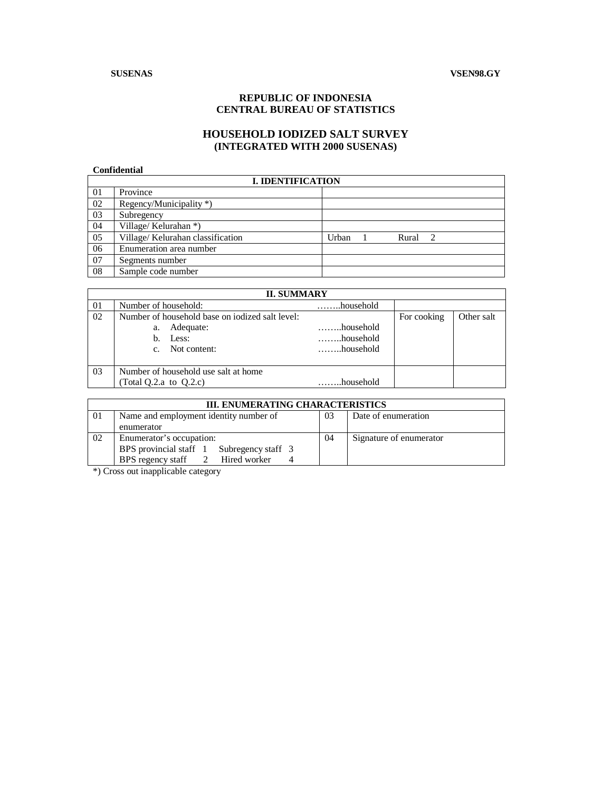### **SUSENAS VSEN98.GY**

# **REPUBLIC OF INDONESIA CENTRAL BUREAU OF STATISTICS**

# **HOUSEHOLD IODIZED SALT SURVEY (INTEGRATED WITH 2000 SUSENAS)**

### **Confidential**

|    | <b>I. IDENTIFICATION</b>          |       |  |       |                |  |  |  |  |  |
|----|-----------------------------------|-------|--|-------|----------------|--|--|--|--|--|
| 01 | Province                          |       |  |       |                |  |  |  |  |  |
| 02 | Regency/Municipality *)           |       |  |       |                |  |  |  |  |  |
| 03 | Subregency                        |       |  |       |                |  |  |  |  |  |
| 04 | Village/Kelurahan *)              |       |  |       |                |  |  |  |  |  |
| 05 | Village/ Kelurahan classification | Urban |  | Rural | $\overline{2}$ |  |  |  |  |  |
| 06 | Enumeration area number           |       |  |       |                |  |  |  |  |  |
| 07 | Segments number                   |       |  |       |                |  |  |  |  |  |
| 08 | Sample code number                |       |  |       |                |  |  |  |  |  |

|      | <b>II. SUMMARY</b>                                                                                              |                                                  |             |            |  |  |  |  |  |  |  |
|------|-----------------------------------------------------------------------------------------------------------------|--------------------------------------------------|-------------|------------|--|--|--|--|--|--|--|
| - 01 | Number of household:                                                                                            | household                                        |             |            |  |  |  |  |  |  |  |
| 02   | Number of household base on iodized salt level:<br>Adequate:<br>a.<br>b. Less:<br>Not content:<br>$\mathcal{C}$ | household<br>$\dots\dots$ household<br>household | For cooking | Other salt |  |  |  |  |  |  |  |
| - 03 | Number of household use salt at home<br>(Total Q.2.a to $Q.2.c$ )                                               | household                                        |             |            |  |  |  |  |  |  |  |

|    | <b>III. ENUMERATING CHARACTERISTICS</b>   |    |                     |                         |  |  |  |  |  |  |
|----|-------------------------------------------|----|---------------------|-------------------------|--|--|--|--|--|--|
| 01 | Name and employment identity number of    | 03 | Date of enumeration |                         |  |  |  |  |  |  |
|    | enumerator                                |    |                     |                         |  |  |  |  |  |  |
| 02 | Enumerator's occupation:                  |    | 04                  | Signature of enumerator |  |  |  |  |  |  |
|    | BPS provincial staff 1 Subregency staff 3 |    |                     |                         |  |  |  |  |  |  |
|    | Hired worker<br>BPS regency staff 2       |    |                     |                         |  |  |  |  |  |  |

\*) Cross out inapplicable category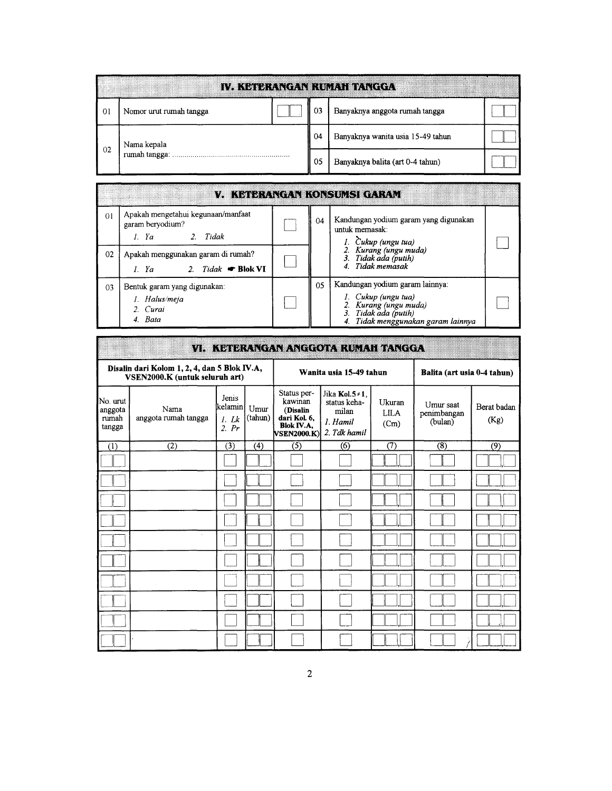|        |                         |  |    | iva orden centrum de l'ocol       |  |
|--------|-------------------------|--|----|-----------------------------------|--|
| $_{0}$ | Nomor urut rumah tangga |  | 03 | Banyaknya anggota rumah tangga    |  |
|        | Nama kepala             |  | 04 | Banyaknya wanita usia 15-49 tahun |  |
| 02     | rumah tangga:           |  |    | Banyaknya balita (art 0-4 tahun)  |  |

|                |                                                                                   |    | V. KAI BRANGAN KONSULSI GARAV                                                                                                                 |  |
|----------------|-----------------------------------------------------------------------------------|----|-----------------------------------------------------------------------------------------------------------------------------------------------|--|
| $\overline{0}$ | Apakah mengetahui kegunaan/manfaat<br>garam beryodium?<br>1. Ya ana 2. Tidak      | 04 | Kandungan yodium garam yang digunakan<br>untuk memasak:<br>1. Cukup (ungu tua)                                                                |  |
| 02             | Apakah menggunakan garam di rumah?<br><i>I. Ya</i> 2. <i>Tidak</i> <b>Blok VI</b> |    | 2. Kurang (ungu muda)<br>3. Tidak ada (putih)<br>4. Tidak memasak                                                                             |  |
| 03             | Bentuk garam yang digunakan:<br>1. Halus/meja<br>2. Curai<br>4. Bata              | 05 | Kandungan yodium garam lainnya:<br>1. Cukup (ungu tua)<br>2. Kurang (ungu muda)<br>3. Tidak ada (putih)<br>4. Tidak menggunakan garam lainnya |  |

## VI. KETERANGAN ANGGOTA RUMAH TANGGA

| Disalin dari Kolom 1, 2, 4, dan 5 Blok IV.A,<br>VSEN2000.K (untuk seluruh art) |                              |                                        |                 |                                                                                               | Wanita usia 15-49 tahun                                                    | Balita (art usia 0-4 tahun)   |                                     |                     |
|--------------------------------------------------------------------------------|------------------------------|----------------------------------------|-----------------|-----------------------------------------------------------------------------------------------|----------------------------------------------------------------------------|-------------------------------|-------------------------------------|---------------------|
| No. urut<br>anggota<br>rumah<br>tangga                                         | Nama<br>anggota rumah tangga | Jenis<br>İkelaminl<br>$1.$ Lk<br>2. Pr | Umur<br>(tahun) | Status per-<br>kawinan<br>(Disalin<br>dari Kol. 6,<br><b>Blok IV.A.</b><br><b>VSEN2000.K)</b> | Jika Kol. $5 \ne 1$ .<br>status keha-<br>milan<br>1. Hamil<br>2. Tdk hamil | Ukuran<br><b>LILA</b><br>(Cm) | Umur saat<br>penimbangan<br>(bulan) | Berat badan<br>(Kg) |
| (1)                                                                            | $\overline{(2)}$             | $\overline{(3)}$                       | (4)             | $\overline{(5)}$                                                                              | (6)                                                                        | (7)                           | (8)                                 | (9)                 |
|                                                                                |                              |                                        |                 |                                                                                               |                                                                            |                               |                                     |                     |
|                                                                                |                              |                                        |                 |                                                                                               |                                                                            |                               |                                     |                     |
|                                                                                |                              |                                        |                 |                                                                                               |                                                                            |                               |                                     |                     |
|                                                                                |                              |                                        |                 |                                                                                               |                                                                            |                               |                                     |                     |
|                                                                                |                              |                                        |                 |                                                                                               |                                                                            |                               |                                     |                     |
|                                                                                |                              |                                        |                 |                                                                                               |                                                                            |                               |                                     |                     |
|                                                                                |                              |                                        |                 |                                                                                               |                                                                            |                               |                                     |                     |
|                                                                                |                              |                                        |                 |                                                                                               |                                                                            |                               |                                     |                     |
|                                                                                |                              |                                        |                 |                                                                                               |                                                                            |                               |                                     |                     |
|                                                                                |                              |                                        |                 |                                                                                               |                                                                            |                               |                                     |                     |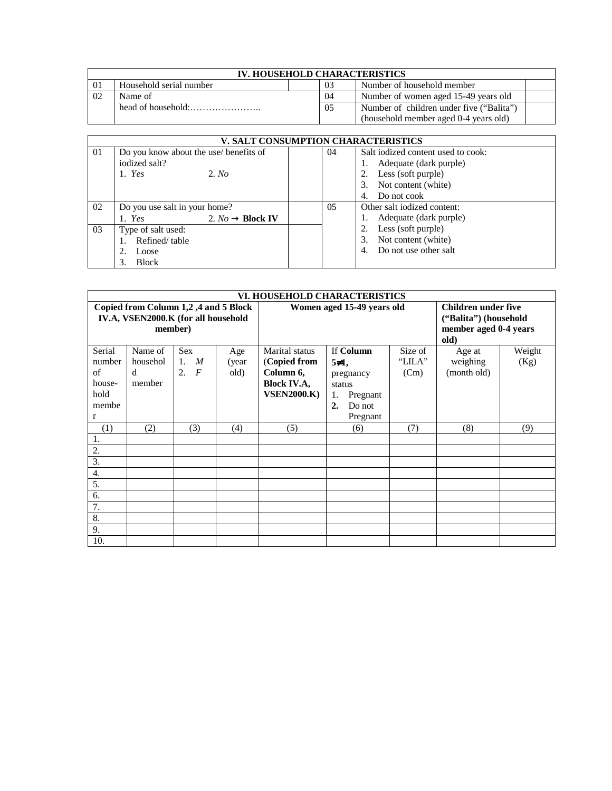| <b>IV. HOUSEHOLD CHARACTERISTICS</b> |                         |  |     |                                          |  |  |  |
|--------------------------------------|-------------------------|--|-----|------------------------------------------|--|--|--|
|                                      | Household serial number |  | 03  | Number of household member               |  |  |  |
|                                      | Name of                 |  | 04  | Number of women aged 15-49 years old     |  |  |  |
|                                      |                         |  | 0.5 | Number of children under five ("Balita") |  |  |  |
|                                      |                         |  |     | (household member aged 0-4 years old)    |  |  |  |

|    |                                        | V. SALT CONSUMPTION CHARACTERISTICS |                                    |  |  |
|----|----------------------------------------|-------------------------------------|------------------------------------|--|--|
| 01 | Do you know about the use/ benefits of | 04                                  | Salt iodized content used to cook: |  |  |
|    | iodized salt?                          |                                     | Adequate (dark purple)             |  |  |
|    | $1.$ Yes<br>2. No                      |                                     | Less (soft purple)<br>2.           |  |  |
|    |                                        |                                     | Not content (white)<br>3.          |  |  |
|    |                                        |                                     | Do not cook<br>4.                  |  |  |
| 02 | Do you use salt in your home?          | 0.5                                 | Other salt iodized content:        |  |  |
|    | 2. $No \rightarrow Block IV$<br>1. Yes |                                     | Adequate (dark purple)             |  |  |
| 03 | Type of salt used:                     |                                     | Less (soft purple)<br>2.           |  |  |
|    | Refined/table                          |                                     | Not content (white)<br>3.          |  |  |
|    | Loose                                  |                                     | Do not use other salt<br>4.        |  |  |
|    | <b>Block</b>                           |                                     |                                    |  |  |

| VI. HOUSEHOLD CHARACTERISTICS                                               |          |                      |       |                            |                                                     |         |             |                       |  |  |
|-----------------------------------------------------------------------------|----------|----------------------|-------|----------------------------|-----------------------------------------------------|---------|-------------|-----------------------|--|--|
| Copied from Column 1,2,4 and 5 Block<br>IV.A, VSEN2000.K (for all household |          |                      |       | Women aged 15-49 years old | <b>Children under five</b><br>("Balita") (household |         |             |                       |  |  |
|                                                                             |          | member)              |       |                            |                                                     |         | old)        | member aged 0-4 years |  |  |
| Serial                                                                      | Name of  | <b>Sex</b>           | Age   | Marital status             | If Column                                           | Size of | Age at      | Weight                |  |  |
| number                                                                      | househol | M<br>1.              | (year | (Copied from               | $5\neq 1$ ,                                         | "LILA"  | weighing    | (Kg)                  |  |  |
| of                                                                          | d        | $\overline{F}$<br>2. | old)  | Column 6,                  | pregnancy                                           | (Cm)    | (month old) |                       |  |  |
| house-                                                                      | member   |                      |       | <b>Block IV.A,</b>         | status                                              |         |             |                       |  |  |
| hold                                                                        |          |                      |       | <b>VSEN2000.K)</b>         | Pregnant<br>1.                                      |         |             |                       |  |  |
| membe                                                                       |          |                      |       |                            | 2.<br>Do not                                        |         |             |                       |  |  |
| r                                                                           |          |                      |       |                            | Pregnant                                            |         |             |                       |  |  |
| (1)                                                                         | (2)      | (3)                  | (4)   | (5)                        | (6)                                                 | (7)     | (8)         | (9)                   |  |  |
| 1.                                                                          |          |                      |       |                            |                                                     |         |             |                       |  |  |
| 2.                                                                          |          |                      |       |                            |                                                     |         |             |                       |  |  |
| $\overline{3}$ .                                                            |          |                      |       |                            |                                                     |         |             |                       |  |  |
| 4.                                                                          |          |                      |       |                            |                                                     |         |             |                       |  |  |
| 5.                                                                          |          |                      |       |                            |                                                     |         |             |                       |  |  |
| 6.                                                                          |          |                      |       |                            |                                                     |         |             |                       |  |  |
| $\overline{7}$ .                                                            |          |                      |       |                            |                                                     |         |             |                       |  |  |
| $\overline{8}$ .                                                            |          |                      |       |                            |                                                     |         |             |                       |  |  |
| 9.                                                                          |          |                      |       |                            |                                                     |         |             |                       |  |  |
| 10.                                                                         |          |                      |       |                            |                                                     |         |             |                       |  |  |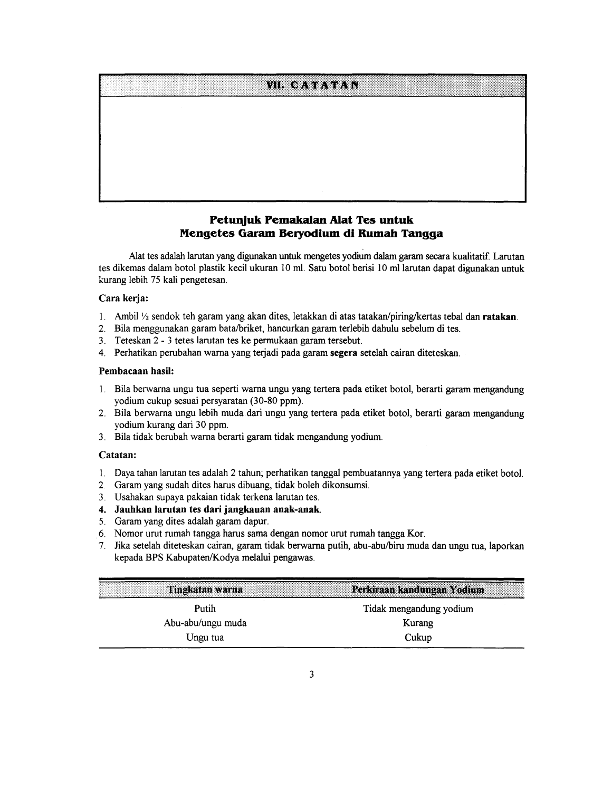# **VIL CATATAN**

# Petunjuk Pemakaian Alat Tes untuk Mengetes Garam Beryodium di Rumah Tangga

Alat tes adalah larutan yang digunakan untuk mengetes yodium dalam garam secara kualitatif. Larutan tes dikemas dalam botol plastik kecil ukuran 10 ml. Satu botol berisi 10 ml larutan dapat digunakan untuk kurang lebih 75 kali pengetesan.

### Cara kerja:

- 1. Ambil  $\frac{1}{2}$  sendok teh garam yang akan dites, letakkan di atas tatakan/piring/kertas tebal dan ratakan.
- 2. Bila menggunakan garam bata/briket, hancurkan garam terlebih dahulu sebelum di tes.
- Teteskan 2 3 tetes larutan tes ke permukaan garam tersebut.  $3<sub>1</sub>$
- 4. Perhatikan perubahan warna yang terjadi pada garam segera setelah cairan diteteskan.

### Pembacaan hasil:

- 1. Bila berwarna ungu tua seperti warna ungu yang tertera pada etiket botol, berarti garam mengandung yodium cukup sesuai persyaratan (30-80 ppm).
- 2. Bila berwarna ungu lebih muda dari ungu yang tertera pada etiket botol, berarti garam mengandung yodium kurang dari 30 ppm.
- 3. Bila tidak berubah warna berarti garam tidak mengandung yodium.

### Catatan:

- 1. Daya tahan larutan tes adalah 2 tahun; perhatikan tanggal pembuatannya yang tertera pada etiket botol.
- 2. Garam yang sudah dites harus dibuang, tidak boleh dikonsumsi.
- 3. Usahakan supaya pakaian tidak terkena larutan tes.
- 4. Jauhkan larutan tes dari jangkauan anak-anak.
- 5. Garam yang dites adalah garam dapur.
- 6. Nomor urut rumah tangga harus sama dengan nomor urut rumah tangga Kor.
- 7. Jika setelah diteteskan cairan, garam tidak berwarna putih, abu-abu/biru muda dan ungu tua, laporkan kepada BPS Kabupaten/Kodya melalui pengawas.

| Perkiraan kandungan Yodium<br>Tingkatan warna |                         |
|-----------------------------------------------|-------------------------|
| Putih                                         | Tidak mengandung yodium |
| Abu-abu/ungu muda                             | Kurang                  |
| Ungu tua                                      | Cukup                   |